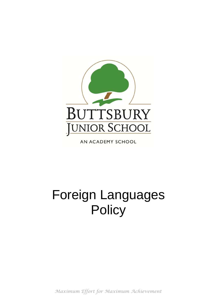

AN ACADEMY SCHOOL

# Foreign Languages **Policy**

*Maximum Effort for Maximum Achievement*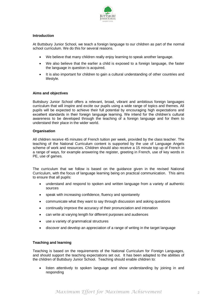

## **Introduction**

At Buttsbury Junior School, we teach a foreign language to our children as part of the normal school curriculum. We do this for several reasons.

- We believe that many children really enjoy learning to speak another language.
- We also believe that the earlier a child is exposed to a foreign language, the faster the language in question is acquired.
- It is also important for children to gain a cultural understanding of other countries and lifestyle.

## **Aims and objectives**

Buttsbury Junior School offers a relevant, broad, vibrant and ambitious foreign languages curriculum that will inspire and excite our pupils using a wide range of topics and themes. All pupils will be expected to achieve their full potential by encouraging high expectations and excellent standards in their foreign language learning. We intend for the children's cultural awareness to be developed through the teaching of a foreign language and for them to understand their place in the wider world.

## **Organisation**

All children receive 45 minutes of French tuition per week, provided by the class teacher. The teaching of the National Curriculum content is supported by the use of Language Angels scheme of work and resources. Children should also receive a 15 minute top up of French in a range of ways, for example answering the register, greeting in French, use of key words in PE, use of games.

The curriculum that we follow is based on the guidance given in the revised National Curriculum, with the focus of language learning being on practical communication. This aims to ensure that all pupils:

- understand and respond to spoken and written language from a variety of authentic sources
- speak with increasing confidence, fluency and spontaneity
- communicate what they want to say through discussion and asking questions
- continually improve the accuracy of their pronunciation and intonation
- can write at varying length for different purposes and audiences
- use a variety of grammatical structures
- discover and develop an appreciation of a range of writing in the target language

## **Teaching and learning**

Teaching is based on the requirements of the National Curriculum for Foreign Languages, and should support the teaching expectations set out. It has been adapted to the abilities of the children of Buttsbury Junior School. Teaching should enable children to:

 listen attentively to spoken language and show understanding by joining in and responding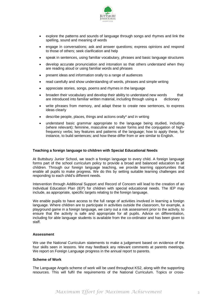

- explore the patterns and sounds of language through songs and rhymes and link the spelling, sound and meaning of words
- engage in conversations; ask and answer questions; express opinions and respond to those of others; seek clarification and help
- speak in sentences, using familiar vocabulary, phrases and basic language structures
- develop accurate pronunciation and intonation so that others understand when they are reading aloud or using familiar words and phrases
- present ideas and information orally to a range of audiences
- read carefully and show understanding of words, phrases and simple writing
- appreciate stories, songs, poems and rhymes in the language
- broaden their vocabulary and develop their ability to understand new words that are introduced into familiar written material, including through using a dictionary
- write phrases from memory, and adapt these to create new sentences, to express ideas clearly
- describe people, places, things and actions orally\* and in writing
- understand basic grammar appropriate to the language being studied, including (where relevant): feminine, masculine and neuter forms and the conjugation of highfrequency verbs; key features and patterns of the language; how to apply these, for instance, to build sentences; and how these differ from or are similar to English.

#### **Teaching a foreign language to children with Special Educational Needs**

At Buttsbury Junior School, we teach a foreign language to every child. A foreign language forms part of the school curriculum policy to provide a broad and balanced education to all children. Through our foreign language teaching, we provide learning opportunities that enable all pupils to make progress. We do this by setting suitable learning challenges and responding to each child's different needs.

Intervention through Additional Support and Record of Concern will lead to the creation of an Individual Education Plan (IEP) for children with special educational needs. The IEP may include, as appropriate, specific targets relating to the foreign language.

We enable pupils to have access to the full range of activities involved in learning a foreign language. Where children are to participate in activities outside the classroom, for example, a playground game in a foreign language, we carry out a risk assessment prior to the activity, to ensure that the activity is safe and appropriate for all pupils. Advice on differentiation, including for able language students is available from the co-ordinator and has been given to staff.

#### **Assessment**

We use the National Curriculum statements to make a judgement based on evidence of the four skills seen in lessons. We may feedback any relevant comments at parents meetings. We report on Foreign Language progress in the annual report to parents.

#### **Scheme of Work**

The Language Angels scheme of work will be used throughout KS2, along with the supporting resources. This will fulfil the requirements of the National Curriculum. Topics or cross-